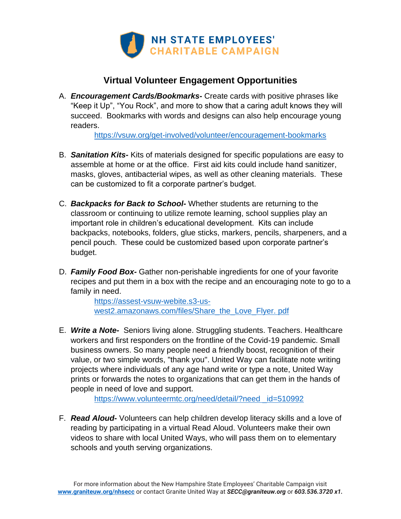

## **Virtual Volunteer Engagement Opportunities**

A. *Encouragement Cards/Bookmarks***-** Create cards with positive phrases like "Keep it Up", "You Rock", and more to show that a caring adult knows they will succeed. Bookmarks with words and designs can also help encourage young readers.

<https://vsuw.org/get-involved/volunteer/encouragement-bookmarks>

- B. *Sanitation Kits-* Kits of materials designed for specific populations are easy to assemble at home or at the office. First aid kits could include hand sanitizer, masks, gloves, antibacterial wipes, as well as other cleaning materials. These can be customized to fit a corporate partner's budget.
- C. *Backpacks for Back to School-* Whether students are returning to the classroom or continuing to utilize remote learning, school supplies play an important role in children's educational development. Kits can include backpacks, notebooks, folders, glue sticks, markers, pencils, sharpeners, and a pencil pouch. These could be customized based upon corporate partner's budget.
- D. *Family Food Box-* Gather non-perishable ingredients for one of your favorite recipes and put them in a box with the recipe and an encouraging note to go to a family in need.

[https://assest-vsuw-webite.s3-us](https://assest-vsuw-webite.s3-us-west2.amazonaws.com/files/Share_the_Love_Flyer.%20pdf)[west2.amazonaws.com/files/Share\\_the\\_Love\\_Flyer. pdf](https://assest-vsuw-webite.s3-us-west2.amazonaws.com/files/Share_the_Love_Flyer.%20pdf)

E. *Write a Note-* Seniors living alone. Struggling students. Teachers. Healthcare workers and first responders on the frontline of the Covid-19 pandemic. Small business owners. So many people need a friendly boost, recognition of their value, or two simple words, "thank you". United Way can facilitate note writing projects where individuals of any age hand write or type a note, United Way prints or forwards the notes to organizations that can get them in the hands of people in need of love and support.

[https://www.volunteermtc.org/need/detail/?need \\_id=510992](https://www.volunteermtc.org/need/detail/?need%20_id=510992)

F. *Read Aloud-* Volunteers can help children develop literacy skills and a love of reading by participating in a virtual Read Aloud. Volunteers make their own videos to share with local United Ways, who will pass them on to elementary schools and youth serving organizations.